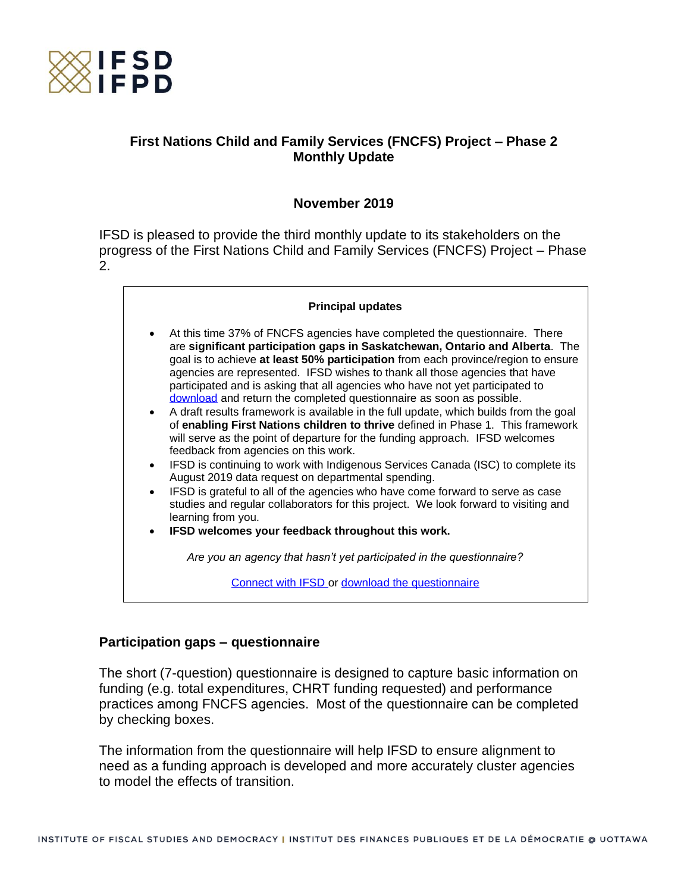

# **First Nations Child and Family Services (FNCFS) Project – Phase 2 Monthly Update**

# **November 2019**

IFSD is pleased to provide the third monthly update to its stakeholders on the progress of the First Nations Child and Family Services (FNCFS) Project – Phase 2.

#### **Principal updates**

- At this time 37% of FNCFS agencies have completed the questionnaire. There are **significant participation gaps in Saskatchewan, Ontario and Alberta**. The goal is to achieve **at least 50% participation** from each province/region to ensure agencies are represented. IFSD wishes to thank all those agencies that have participated and is asking that all agencies who have not yet participated to [download](https://www.ifsd.ca/web/default/files/FNCFS/EN_Questionnaire%20for%20FNCFS%20agencies.pdf) and return the completed questionnaire as soon as possible.
- A draft results framework is available in the full update, which builds from the goal of **enabling First Nations children to thrive** defined in Phase 1. This framework will serve as the point of departure for the funding approach. IFSD welcomes feedback from agencies on this work.
- IFSD is continuing to work with Indigenous Services Canada (ISC) to complete its August 2019 data request on departmental spending.
- IFSD is grateful to all of the agencies who have come forward to serve as case studies and regular collaborators for this project. We look forward to visiting and learning from you.
- **IFSD welcomes your feedback throughout this work.**

*Are you an agency that hasn't yet participated in the questionnaire?*

[Connect with IFSD](mailto:helaina.gaspard@ifsd.ca) or [download the questionnaire](https://www.ifsd.ca/web/default/files/FNCFS/EN_Questionnaire%20for%20FNCFS%20agencies.pdf)

#### **Participation gaps – questionnaire**

The short (7-question) questionnaire is designed to capture basic information on funding (e.g. total expenditures, CHRT funding requested) and performance practices among FNCFS agencies. Most of the questionnaire can be completed by checking boxes.

The information from the questionnaire will help IFSD to ensure alignment to need as a funding approach is developed and more accurately cluster agencies to model the effects of transition.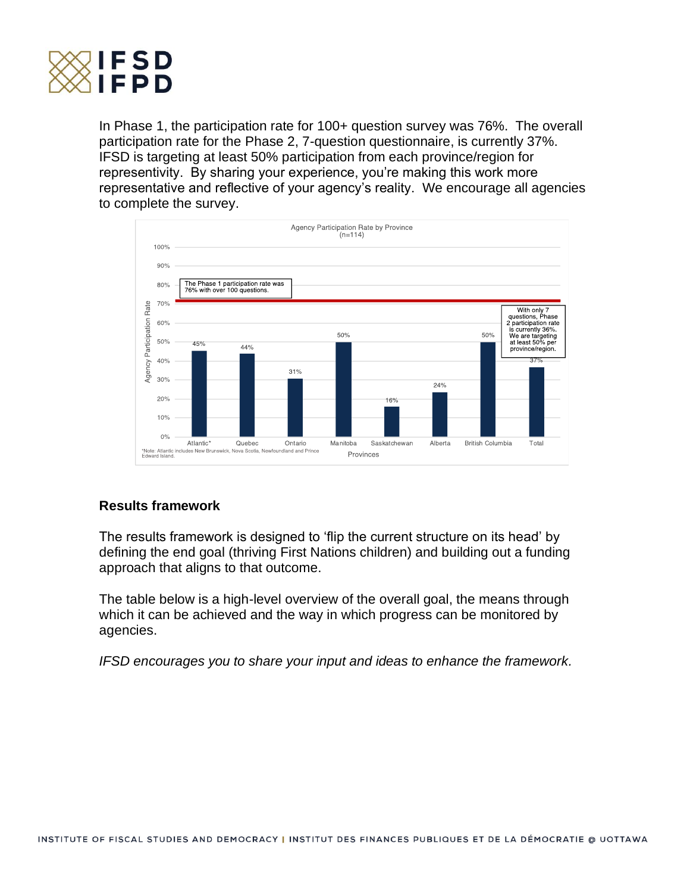

In Phase 1, the participation rate for 100+ question survey was 76%. The overall participation rate for the Phase 2, 7-question questionnaire, is currently 37%. IFSD is targeting at least 50% participation from each province/region for representivity. By sharing your experience, you're making this work more representative and reflective of your agency's reality. We encourage all agencies to complete the survey.



# **Results framework**

The results framework is designed to 'flip the current structure on its head' by defining the end goal (thriving First Nations children) and building out a funding approach that aligns to that outcome.

The table below is a high-level overview of the overall goal, the means through which it can be achieved and the way in which progress can be monitored by agencies.

*IFSD encourages you to share your input and ideas to enhance the framework.*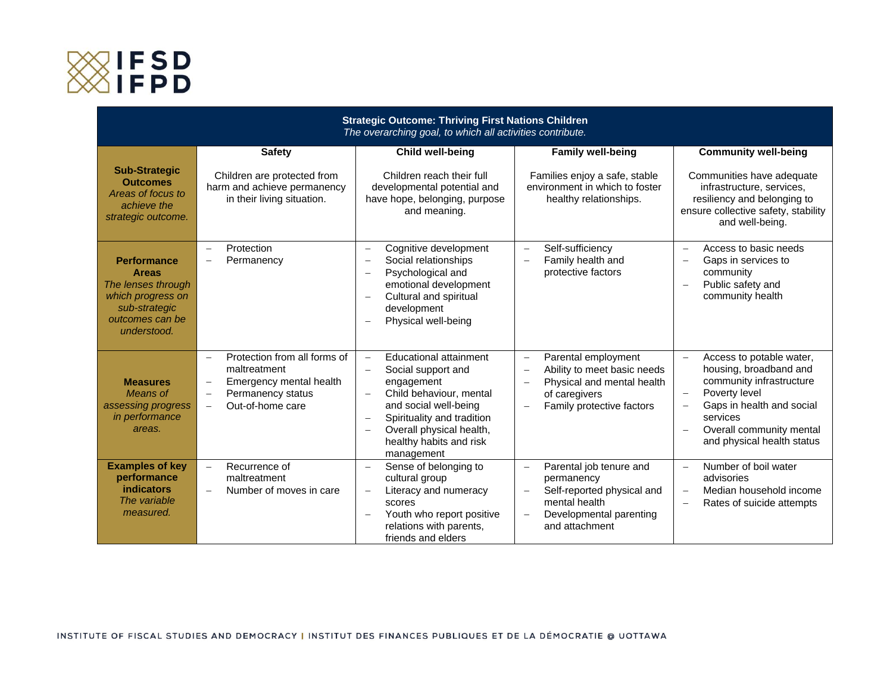

| <b>Strategic Outcome: Thriving First Nations Children</b><br>The overarching goal, to which all activities contribute.           |                                                                                                                                                                                    |                                                                                                                                                                                                                                                                                                                                          |                                                                                                                                                                                                       |                                                                                                                                                                                                                                                                        |
|----------------------------------------------------------------------------------------------------------------------------------|------------------------------------------------------------------------------------------------------------------------------------------------------------------------------------|------------------------------------------------------------------------------------------------------------------------------------------------------------------------------------------------------------------------------------------------------------------------------------------------------------------------------------------|-------------------------------------------------------------------------------------------------------------------------------------------------------------------------------------------------------|------------------------------------------------------------------------------------------------------------------------------------------------------------------------------------------------------------------------------------------------------------------------|
|                                                                                                                                  | <b>Safety</b>                                                                                                                                                                      | <b>Child well-being</b>                                                                                                                                                                                                                                                                                                                  | <b>Family well-being</b>                                                                                                                                                                              | <b>Community well-being</b>                                                                                                                                                                                                                                            |
| <b>Sub-Strategic</b><br><b>Outcomes</b><br>Areas of focus to<br>achieve the<br>strategic outcome.                                | Children are protected from<br>harm and achieve permanency<br>in their living situation.                                                                                           | Children reach their full<br>developmental potential and<br>have hope, belonging, purpose<br>and meaning.                                                                                                                                                                                                                                | Families enjoy a safe, stable<br>environment in which to foster<br>healthy relationships.                                                                                                             | Communities have adequate<br>infrastructure, services,<br>resiliency and belonging to<br>ensure collective safety, stability<br>and well-being.                                                                                                                        |
| <b>Performance</b><br><b>Areas</b><br>The lenses through<br>which progress on<br>sub-strategic<br>outcomes can be<br>understood. | Protection<br>$\overline{\phantom{0}}$<br>Permanency<br>$\overline{\phantom{0}}$                                                                                                   | Cognitive development<br>$\overline{\phantom{m}}$<br>Social relationships<br>$\overline{\phantom{a}}$<br>Psychological and<br>$\overline{\phantom{a}}$<br>emotional development<br>Cultural and spiritual<br>$\overline{\phantom{a}}$<br>development<br>Physical well-being<br>$\overline{\phantom{a}}$                                  | Self-sufficiency<br>$\overline{\phantom{m}}$<br>Family health and<br>$\overline{\phantom{0}}$<br>protective factors                                                                                   | Access to basic needs<br>$\equiv$<br>Gaps in services to<br>$\overline{\phantom{m}}$<br>community<br>Public safety and<br>$\overline{\phantom{m}}$<br>community health                                                                                                 |
| <b>Measures</b><br>Means of<br>assessing progress<br>in performance<br>areas.                                                    | Protection from all forms of<br>$\frac{1}{2}$<br>maltreatment<br>Emergency mental health<br>Permanency status<br>$\qquad \qquad -$<br>Out-of-home care<br>$\overline{\phantom{0}}$ | <b>Educational attainment</b><br>$\overline{\phantom{m}}$<br>Social support and<br>$\overline{\phantom{0}}$<br>engagement<br>Child behaviour, mental<br>and social well-being<br>Spirituality and tradition<br>$\overline{\phantom{a}}$<br>Overall physical health,<br>$\overline{\phantom{a}}$<br>healthy habits and risk<br>management | Parental employment<br>$\overline{\phantom{a}}$<br>Ability to meet basic needs<br>$\overline{\phantom{0}}$<br>Physical and mental health<br>of caregivers<br>Family protective factors                | Access to potable water,<br>$\equiv$<br>housing, broadband and<br>community infrastructure<br>Poverty level<br>$\overline{\phantom{m}}$<br>Gaps in health and social<br>$\overline{\phantom{m}}$<br>services<br>Overall community mental<br>and physical health status |
| <b>Examples of key</b><br>performance<br>indicators<br>The variable<br>measured.                                                 | Recurrence of<br>$\overline{\phantom{a}}$<br>maltreatment<br>Number of moves in care<br>$\equiv$                                                                                   | Sense of belonging to<br>$\overline{\phantom{m}}$<br>cultural group<br>Literacy and numeracy<br>$\overline{\phantom{a}}$<br>scores<br>Youth who report positive<br>relations with parents,<br>friends and elders                                                                                                                         | Parental job tenure and<br>$\overline{\phantom{m}}$<br>permanency<br>Self-reported physical and<br>$\overline{\phantom{0}}$<br>mental health<br>Developmental parenting<br>$\equiv$<br>and attachment | Number of boil water<br>$\overline{\phantom{m}}$<br>advisories<br>Median household income<br>$\overline{\phantom{0}}$<br>Rates of suicide attempts<br>$\overline{\phantom{0}}$                                                                                         |